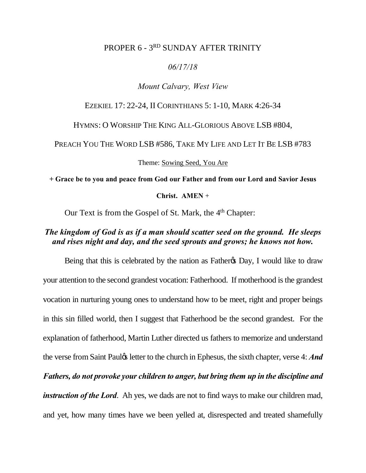### PROPER 6 - 3RD SUNDAY AFTER TRINITY

#### *06/17/18*

### *Mount Calvary, West View*

#### EZEKIEL 17: 22-24, II CORINTHIANS 5: 1-10, MARK 4:26-34

HYMNS: O WORSHIP THE KING ALL-GLORIOUS ABOVE LSB #804,

PREACH YOU THE WORD LSB #586, TAKE MY LIFE AND LET IT BE LSB #783

Theme: Sowing Seed, You Are

**+ Grace be to you and peace from God our Father and from our Lord and Savior Jesus** 

**Christ. AMEN** +

Our Text is from the Gospel of St. Mark, the  $4<sup>th</sup>$  Chapter:

## *The kingdom of God is as if a man should scatter seed on the ground. He sleeps and rises night and day, and the seed sprouts and grows; he knows not how.*

Being that this is celebrated by the nation as Father & Day, I would like to draw your attention to the second grandest vocation: Fatherhood. If motherhood is the grandest vocation in nurturing young ones to understand how to be meet, right and proper beings in this sin filled world, then I suggest that Fatherhood be the second grandest. For the explanation of fatherhood, Martin Luther directed us fathers to memorize and understand the verse from Saint Paul*(in Letter to the church in Ephesus, the sixth chapter, verse 4: And Fathers, do not provoke your children to anger, but bring them up in the discipline and instruction of the Lord.* Ah yes, we dads are not to find ways to make our children mad,

and yet, how many times have we been yelled at, disrespected and treated shamefully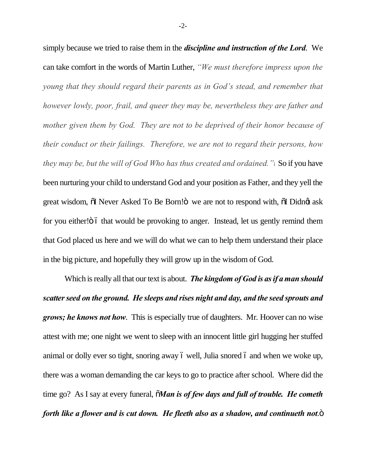simply because we tried to raise them in the *discipline and instruction of the Lord*. We can take comfort in the words of Martin Luther, *"We must therefore impress upon the young that they should regard their parents as in God's stead, and remember that however lowly, poor, frail, and queer they may be, nevertheless they are father and mother given them by God. They are not to be deprived of their honor because of their conduct or their failings. Therefore, we are not to regard their persons, how they may be, but the will of God Who has thus created and ordained."*i So if you have been nurturing your child to understand God and your position as Father, and they yell the great wisdom,  $\tilde{o}$ I Never Asked To Be Born! $\tilde{o}$  we are not to respond with,  $\tilde{o}$ I Didnet ask for you either!"  $\ddot{\text{o}}$  that would be provoking to anger. Instead, let us gently remind them that God placed us here and we will do what we can to help them understand their place in the big picture, and hopefully they will grow up in the wisdom of God.

Which is really all that our text is about. *The kingdom of God is as if a man should scatter seed on the ground. He sleeps and rises night and day, and the seed sprouts and grows; he knows not how*. This is especially true of daughters. Mr. Hoover can no wise attest with me; one night we went to sleep with an innocent little girl hugging her stuffed animal or dolly ever so tight, snoring away 6 well, Julia snored 6 and when we woke up, there was a woman demanding the car keys to go to practice after school. Where did the time go? As I say at every funeral,  $\tilde{\mathbf{a}}$ *Man is of few days and full of trouble. He cometh forth like a flower and is cut down. He fleeth also as a shadow, and continueth not.* $\ddot{\text{o}}$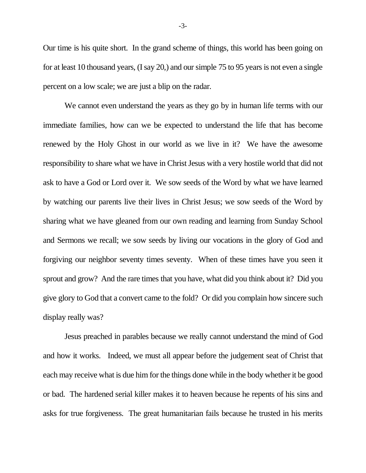Our time is his quite short. In the grand scheme of things, this world has been going on for at least 10 thousand years, (I say 20,) and our simple 75 to 95 years is not even a single percent on a low scale; we are just a blip on the radar.

We cannot even understand the years as they go by in human life terms with our immediate families, how can we be expected to understand the life that has become renewed by the Holy Ghost in our world as we live in it? We have the awesome responsibility to share what we have in Christ Jesus with a very hostile world that did not ask to have a God or Lord over it. We sow seeds of the Word by what we have learned by watching our parents live their lives in Christ Jesus; we sow seeds of the Word by sharing what we have gleaned from our own reading and learning from Sunday School and Sermons we recall; we sow seeds by living our vocations in the glory of God and forgiving our neighbor seventy times seventy. When of these times have you seen it sprout and grow? And the rare times that you have, what did you think about it? Did you give glory to God that a convert came to the fold? Or did you complain how sincere such display really was?

Jesus preached in parables because we really cannot understand the mind of God and how it works. Indeed, we must all appear before the judgement seat of Christ that each may receive what is due him for the things done while in the body whether it be good or bad. The hardened serial killer makes it to heaven because he repents of his sins and asks for true forgiveness. The great humanitarian fails because he trusted in his merits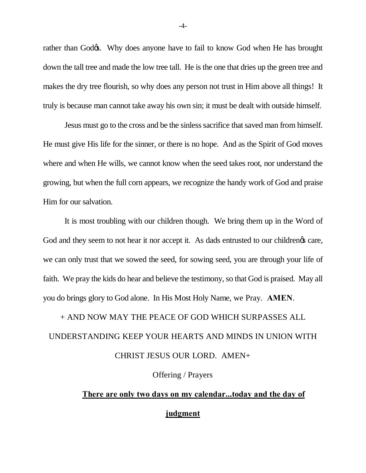rather than Godøs. Why does anyone have to fail to know God when He has brought down the tall tree and made the low tree tall. He is the one that dries up the green tree and makes the dry tree flourish, so why does any person not trust in Him above all things! It truly is because man cannot take away his own sin; it must be dealt with outside himself.

Jesus must go to the cross and be the sinless sacrifice that saved man from himself. He must give His life for the sinner, or there is no hope. And as the Spirit of God moves where and when He wills, we cannot know when the seed takes root, nor understand the growing, but when the full corn appears, we recognize the handy work of God and praise Him for our salvation.

It is most troubling with our children though. We bring them up in the Word of God and they seem to not hear it nor accept it. As dads entrusted to our childrengs care, we can only trust that we sowed the seed, for sowing seed, you are through your life of faith. We pray the kids do hear and believe the testimony, so that God is praised. May all you do brings glory to God alone. In His Most Holy Name, we Pray. **AMEN**.

# + AND NOW MAY THE PEACE OF GOD WHICH SURPASSES ALL

# UNDERSTANDING KEEP YOUR HEARTS AND MINDS IN UNION WITH CHRIST JESUS OUR LORD. AMEN+

Offering / Prayers

# **There are only two days on my calendar...today and the day of judgment**